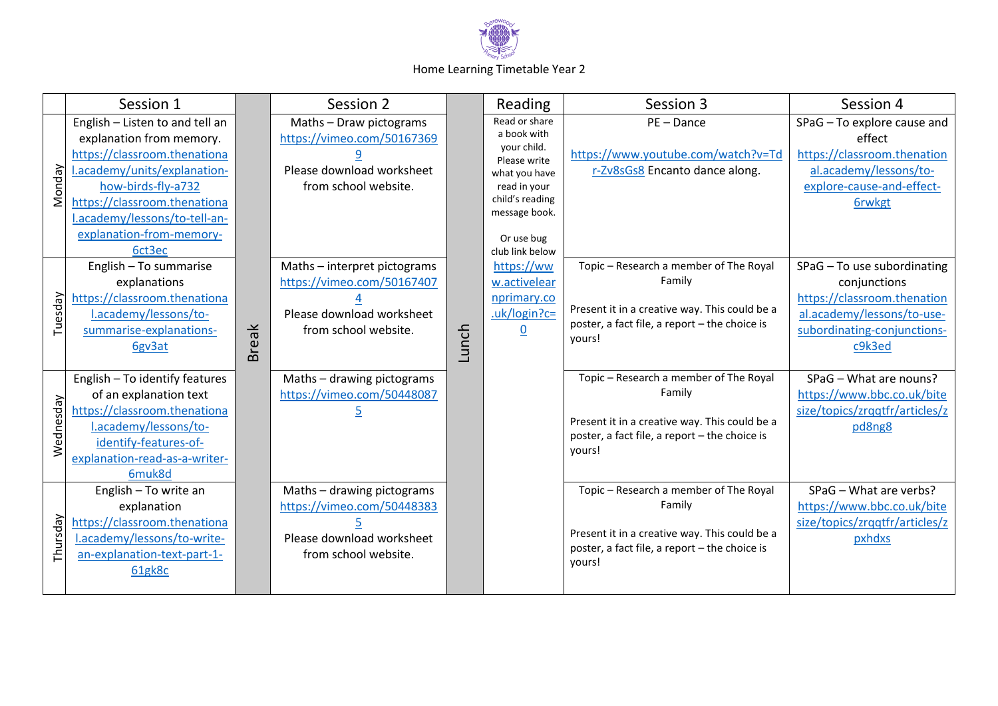

## Home Learning Timetable Year 2

|           | Session 1                                                                                                                                                                                                                                                |              | Session 2                                                                                                       |       | Reading                                                                                                                                                           | Session 3                                                                                                                                                    | Session 4                                                                                                                                         |
|-----------|----------------------------------------------------------------------------------------------------------------------------------------------------------------------------------------------------------------------------------------------------------|--------------|-----------------------------------------------------------------------------------------------------------------|-------|-------------------------------------------------------------------------------------------------------------------------------------------------------------------|--------------------------------------------------------------------------------------------------------------------------------------------------------------|---------------------------------------------------------------------------------------------------------------------------------------------------|
| Monday    | English - Listen to and tell an<br>explanation from memory.<br>https://classroom.thenationa<br>l.academy/units/explanation-<br>how-birds-fly-a732<br>https://classroom.thenationa<br>l.academy/lessons/to-tell-an-<br>explanation-from-memory-<br>6ct3ec |              | Maths - Draw pictograms<br>https://vimeo.com/50167369<br>Please download worksheet<br>from school website.      |       | Read or share<br>a book with<br>your child.<br>Please write<br>what you have<br>read in your<br>child's reading<br>message book.<br>Or use bug<br>club link below | PE-Dance<br>https://www.youtube.com/watch?v=Td<br>r-Zv8sGs8 Encanto dance along.                                                                             | SPaG - To explore cause and<br>effect<br>https://classroom.thenation<br>al.academy/lessons/to-<br>explore-cause-and-effect-<br><b>6rwkgt</b>      |
| Tuesday   | English - To summarise<br>explanations<br>https://classroom.thenationa<br>l.academy/lessons/to-<br>summarise-explanations-<br>6gv3at                                                                                                                     | <b>Break</b> | Maths - interpret pictograms<br>https://vimeo.com/50167407<br>Please download worksheet<br>from school website. | Lunch | https://ww<br>w.activelear<br>nprimary.co<br>.uk/login?c=<br>$\overline{0}$                                                                                       | Topic - Research a member of The Royal<br>Family<br>Present it in a creative way. This could be a<br>poster, a fact file, a report - the choice is<br>yours! | SPaG - To use subordinating<br>conjunctions<br>https://classroom.thenation<br>al.academy/lessons/to-use-<br>subordinating-conjunctions-<br>c9k3ed |
| Wednesday | English - To identify features<br>of an explanation text<br>https://classroom.thenationa<br>l.academy/lessons/to-<br>identify-features-of-<br>explanation-read-as-a-writer-<br>6muk8d                                                                    |              | Maths - drawing pictograms<br>https://vimeo.com/50448087                                                        |       |                                                                                                                                                                   | Topic - Research a member of The Royal<br>Family<br>Present it in a creative way. This could be a<br>poster, a fact file, a report - the choice is<br>yours! | SPaG - What are nouns?<br>https://www.bbc.co.uk/bite<br>size/topics/zrqqtfr/articles/z<br>pd8ng8                                                  |
| Thursday  | English - To write an<br>explanation<br>https://classroom.thenationa<br>l.academy/lessons/to-write-<br>an-explanation-text-part-1-<br>61gk8c                                                                                                             |              | Maths - drawing pictograms<br>https://vimeo.com/50448383<br>Please download worksheet<br>from school website.   |       |                                                                                                                                                                   | Topic - Research a member of The Royal<br>Family<br>Present it in a creative way. This could be a<br>poster, a fact file, a report - the choice is<br>yours! | SPaG - What are verbs?<br>https://www.bbc.co.uk/bite<br>size/topics/zrqqtfr/articles/z<br>pxhdxs                                                  |